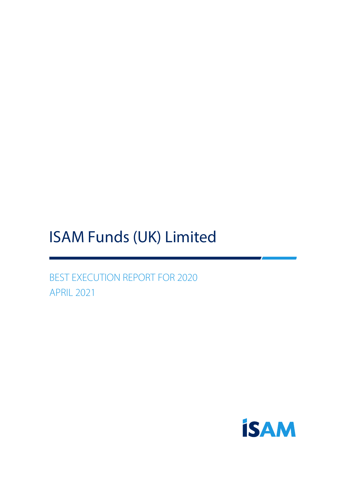# ISAM Funds (UK) Limited

BEST EXECUTION REPORT FOR 2020 APRIL 2021

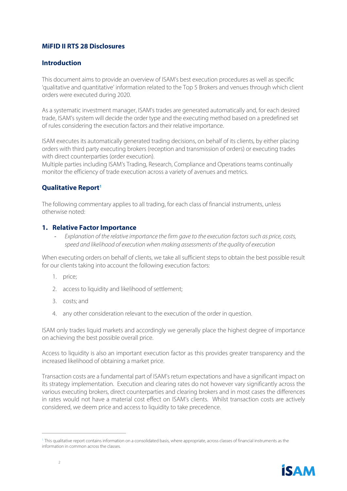#### **MiFID II RTS 28 Disclosures**

#### **Introduction**

This document aims to provide an overview of ISAM's best execution procedures as well as specific 'qualitative and quantitative' information related to the Top 5 Brokers and venues through which client orders were executed during 2020.

As a systematic investment manager, ISAM's trades are generated automatically and, for each desired trade, ISAM's system will decide the order type and the executing method based on a predefined set of rules considering the execution factors and their relative importance.

ISAM executes its automatically generated trading decisions, on behalf of its clients, by either placing orders with third party executing brokers (reception and transmission of orders) or executing trades with direct counterparties (order execution).

Multiple parties including ISAM's Trading, Research, Compliance and Operations teams continually monitor the efficiency of trade execution across a variety of avenues and metrics.

#### **Qualitative Report<sup>1</sup>**

The following commentary applies to all trading, for each class of financial instruments, unless otherwise noted:

#### **1. Relative Factor Importance**

- *Explanation of the relative importance the firm gave to the execution factors such as price, costs, speed and likelihood of execution when making assessments of the quality of execution*

When executing orders on behalf of clients, we take all sufficient steps to obtain the best possible result for our clients taking into account the following execution factors:

- 1. price;
- 2. access to liquidity and likelihood of settlement;
- 3. costs; and
- 4. any other consideration relevant to the execution of the order in question.

ISAM only trades liquid markets and accordingly we generally place the highest degree of importance on achieving the best possible overall price.

Access to liquidity is also an important execution factor as this provides greater transparency and the increased likelihood of obtaining a market price.

Transaction costs are a fundamental part of ISAM's return expectations and have a significant impact on its strategy implementation. Execution and clearing rates do not however vary significantly across the various executing brokers, direct counterparties and clearing brokers and in most cases the differences in rates would not have a material cost effect on ISAM's clients. Whilst transaction costs are actively considered, we deem price and access to liquidity to take precedence.

<sup>&</sup>lt;sup>1</sup> This qualitative report contains information on a consolidated basis, where appropriate, across classes of financial instruments as the information in common across the classes.

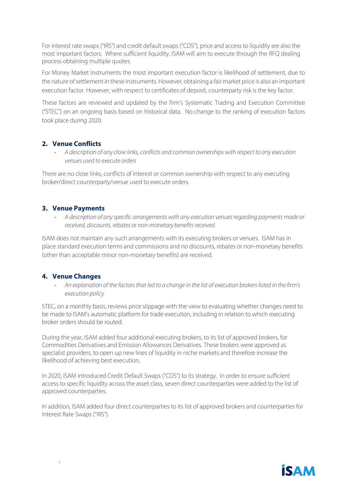For interest rate swaps ("IRS") and credit default swaps ("CDS"), price and access to liquidity are also the most important factors. Where sufficient liquidity, ISAM will aim to execute through the RFQ dealing process obtaining multiple quotes.

For Money Market Instruments the most important execution factor is likelihood of settlement, due to the nature of settlement in these instruments. However, obtaining a fair market price is also an important execution factor. However, with respect to certificates of deposit, counterparty risk is the key factor.

These factors are reviewed and updated by the firm's Systematic Trading and Execution Committee ("STEC") on an ongoing basis based on historical data. No change to the ranking of execution factors took place during 2020.

#### **2. Venue Conflicts**

- *A description of any close links, conflicts and common ownerships with respect to any execution venues used to execute orders*

There are no close links, conflicts of interest or common ownership with respect to any executing broker/direct counterparty/venue used to execute orders.

#### **3. Venue Payments**

- *A description of any specific arrangements with any execution venues regarding payments made or received, discounts, rebates or non-monetary benefits received.*

ISAM does not maintain any such arrangements with its executing brokers or venues. ISAM has in place standard execution terms and commissions and no discounts, rebates or non-monetary benefits (other than acceptable minor non-monetary benefits) are received.

#### **4. Venue Changes**

- *An explanation of the factors that led to a change in the list of execution brokers listed in the firm's execution policy*

STEC, on a monthly basis, reviews price slippage with the view to evaluating whether changes need to be made to ISAM's automatic platform for trade execution, including in relation to which executing broker orders should be routed.

During the year, ISAM added four additional executing brokers, to its list of approved brokers, for Commodities Derivatives and Emission Allowances Derivatives. These brokers were approved as specialist providers, to open up new lines of liquidity in niche markets and therefore increase the likelihood of achieving best execution.

In 2020, ISAM introduced Credit Default Swaps ("CDS") to its strategy. In order to ensure sufficient access to specific liquidity across the asset class, seven direct counterparties were added to the list of approved counterparties.

In addition, ISAM added four direct counterparties to its list of approved brokers and counterparties for Interest Rate Swaps ("IRS").

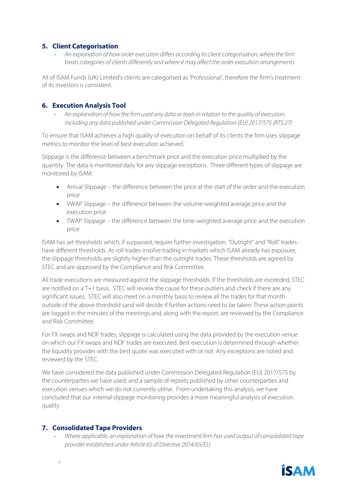#### **5. Client Categorisation**

- *An explanation of how order execution differs according to client categorisation, where the firm treats categories of clients differently and where it may affect the order execution arrangements.* 

All of ISAM Funds (UK) Limited's clients are categorised as 'Professional', therefore the firm's treatment of its investors is consistent.

#### **6. Execution Analysis Tool**

- *An explanation of how the firm used any data or tools in relation to the quality of execution, including any data published under Commission Delegated Regulation (EU) 2017/575 (RTS 27)*

To ensure that ISAM achieves a high quality of execution on behalf of its clients the firm uses slippage metrics to monitor the level of best execution achieved.

Slippage is the difference between a benchmark price and the execution price multiplied by the quantity. The data is monitored daily for any slippage exceptions. Three different types of slippage are monitored by ISAM:

- Arrival Slippage the difference between the price at the start of the order and the execution price
- VWAP Slippage the difference between the volume-weighted average price and the execution price
- TWAP Slippage the difference between the time-weighted average price and the execution price

ISAM has set thresholds which, if surpassed, require further investigation. "Outright" and "Roll" trades have different thresholds. As roll trades involve trading in markets which ISAM already has exposure, the slippage thresholds are slightly higher than the outright trades. These thresholds are agreed by STEC and are approved by the Compliance and Risk Committee.

All trade executions are measured against the slippage thresholds. If the thresholds are exceeded, STEC are notified on a T+1 basis. STEC will review the cause for these outliers and check if there are any significant issues. STEC will also meet on a monthly basis to review all the trades for that month outside of the above threshold sand will decide if further actions need to be taken. These action points are logged in the minutes of the meetings and, along with the report, are reviewed by the Compliance and Risk Committee.

For FX swaps and NDF trades, slippage is calculated using the data provided by the execution venue on which our FX swaps and NDF trades are executed. Best execution is determined through whether the liquidity provider with the best quote was executed with or not. Any exceptions are noted and reviewed by the STEC.

We have considered the data published under Commission Delegated Regulation (EU) 2017/575 by the counterparties we have used, and a sample of reports published by other counterparties and execution venues which we do not currently utilise. From undertaking this analysis, we have concluded that our internal slippage monitoring provides a more meaningful analysis of execution quality.

#### **7. Consolidated Tape Providers**

- *Where applicable, an explanation of how the investment firm has used output of consolidated tape provider established under Article 65 of Directive 2014/65/EU.*



4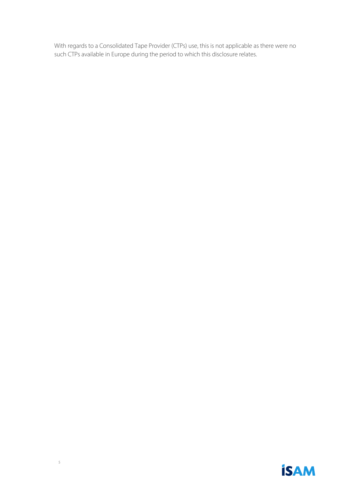With regards to a Consolidated Tape Provider (CTPs) use, this is not applicable as there were no such CTPs available in Europe during the period to which this disclosure relates.

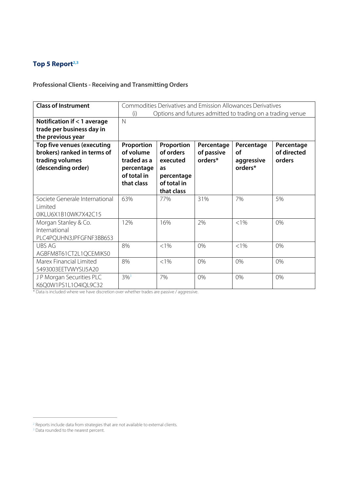### **Top 5 Report2,3**

#### **Professional Clients - Receiving and Transmitting Orders**

| <b>Class of Instrument</b>                                                                         | (i)                                                                               |                                                                                      |                                     | Commodities Derivatives and Emission Allowances Derivatives<br>Options and futures admitted to trading on a trading venue |                                     |
|----------------------------------------------------------------------------------------------------|-----------------------------------------------------------------------------------|--------------------------------------------------------------------------------------|-------------------------------------|---------------------------------------------------------------------------------------------------------------------------|-------------------------------------|
| Notification if < 1 average<br>trade per business day in<br>the previous year                      | $\mathsf{N}$                                                                      |                                                                                      |                                     |                                                                                                                           |                                     |
| Top five venues (executing<br>brokers) ranked in terms of<br>trading volumes<br>(descending order) | Proportion<br>of volume<br>traded as a<br>percentage<br>of total in<br>that class | Proportion<br>of orders<br>executed<br>as<br>percentage<br>of total in<br>that class | Percentage<br>of passive<br>orders* | Percentage<br><b>of</b><br>aggressive<br>orders*                                                                          | Percentage<br>of directed<br>orders |
| Societe Generale International<br>Limited<br>OIKLU6X1B10WK7X42C15                                  | 63%                                                                               | 77%                                                                                  | 31%                                 | 7%                                                                                                                        | 5%                                  |
| Morgan Stanley & Co.<br>International<br>PLC4PQUHN3JPFGFNF3BB653                                   | 12%                                                                               | 16%                                                                                  | 2%                                  | $< 1\%$                                                                                                                   | 0%                                  |
| <b>UBS AG</b><br>AGBFM8T61CT2L1QCEMIK50                                                            | 8%                                                                                | $< 1\%$                                                                              | 0%                                  | $< 1\%$                                                                                                                   | 0%                                  |
| Marex Financial Limited<br>5493003EETVWYSIJ5A20                                                    | 8%                                                                                | $< 1\%$                                                                              | 0%                                  | 0%                                                                                                                        | 0%                                  |
| JP Morgan Securities PLC<br>K6Q0W1PS1L1O4IQL9C32                                                   | $3\%$ <sup>3</sup>                                                                | 7%                                                                                   | 0%                                  | 0%                                                                                                                        | 0%                                  |

<sup>&</sup>lt;sup>2</sup> Reports include data from strategies that are not available to external clients.

<sup>&</sup>lt;sup>3</sup> Data rounded to the nearest percent.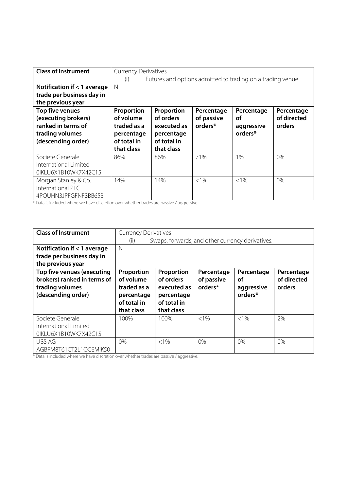| <b>Class of Instrument</b>  |             | <b>Currency Derivatives</b> |            |                                                            |             |  |
|-----------------------------|-------------|-----------------------------|------------|------------------------------------------------------------|-------------|--|
|                             | (i)         |                             |            | Futures and options admitted to trading on a trading venue |             |  |
| Notification if < 1 average | N           |                             |            |                                                            |             |  |
| trade per business day in   |             |                             |            |                                                            |             |  |
| the previous year           |             |                             |            |                                                            |             |  |
| Top five venues             | Proportion  | Proportion                  | Percentage | Percentage                                                 | Percentage  |  |
| (executing brokers)         | of volume   | of orders                   | of passive | οf                                                         | of directed |  |
| ranked in terms of          | traded as a | executed as                 | orders*    | aggressive                                                 | orders      |  |
| trading volumes             | percentage  | percentage                  |            | orders*                                                    |             |  |
| (descending order)          | of total in | of total in                 |            |                                                            |             |  |
|                             | that class  | that class                  |            |                                                            |             |  |
| Societe Generale            | 86%         | 86%                         | 71%        | 1%                                                         | 0%          |  |
| International Limited       |             |                             |            |                                                            |             |  |
| OIKLU6X1B10WK7X42C15        |             |                             |            |                                                            |             |  |
| Morgan Stanley & Co.        | 14%         | 14%                         | $<1\%$     | $< 1\%$                                                    | 0%          |  |
| International PLC           |             |                             |            |                                                            |             |  |
| 4PQUHN3JPFGFNF3BB653        |             |                             |            |                                                            |             |  |

| <b>Class of Instrument</b>  |              | <b>Currency Derivatives</b>                      |            |            |             |  |
|-----------------------------|--------------|--------------------------------------------------|------------|------------|-------------|--|
|                             | (ii)         | Swaps, forwards, and other currency derivatives. |            |            |             |  |
| Notification if < 1 average | $\mathsf{N}$ |                                                  |            |            |             |  |
| trade per business day in   |              |                                                  |            |            |             |  |
| the previous year           |              |                                                  |            |            |             |  |
| Top five venues (executing  | Proportion   | Proportion                                       | Percentage | Percentage | Percentage  |  |
| brokers) ranked in terms of | of volume    | of orders                                        | of passive | οf         | of directed |  |
| trading volumes             | traded as a  | executed as                                      | orders*    | aggressive | orders      |  |
| (descending order)          | percentage   | percentage                                       |            | orders*    |             |  |
|                             | of total in  | of total in                                      |            |            |             |  |
|                             | that class   | that class                                       |            |            |             |  |
| Societe Generale            | 100%         | 100%                                             | $< 1\%$    | $< 1\%$    | 2%          |  |
| International Limited       |              |                                                  |            |            |             |  |
| OIKLU6X1B10WK7X42C15        |              |                                                  |            |            |             |  |
| UBS AG                      | 0%           | $< 1\%$                                          | 0%         | 0%         | 0%          |  |
| AGBFM8T61CT2L1QCEMIK50      |              |                                                  |            |            |             |  |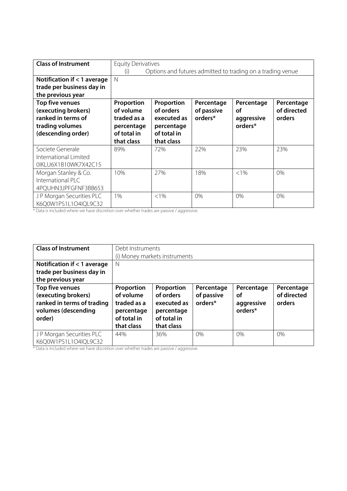| <b>Class of Instrument</b>  | <b>Equity Derivatives</b> |             |            |                                                            |             |
|-----------------------------|---------------------------|-------------|------------|------------------------------------------------------------|-------------|
|                             | (i)                       |             |            | Options and futures admitted to trading on a trading venue |             |
| Notification if < 1 average | $\mathbb N$               |             |            |                                                            |             |
| trade per business day in   |                           |             |            |                                                            |             |
| the previous year           |                           |             |            |                                                            |             |
| Top five venues             | Proportion                | Proportion  | Percentage | Percentage                                                 | Percentage  |
| (executing brokers)         | of volume                 | of orders   | of passive | οf                                                         | of directed |
| ranked in terms of          | traded as a               | executed as | orders*    | aggressive                                                 | orders      |
| trading volumes             | percentage                | percentage  |            | orders*                                                    |             |
| (descending order)          | of total in               | of total in |            |                                                            |             |
|                             | that class                | that class  |            |                                                            |             |
| Societe Generale            | 89%                       | 72%         | 22%        | 23%                                                        | 23%         |
| International Limited       |                           |             |            |                                                            |             |
| 0IKLU6X1B10WK7X42C15        |                           |             |            |                                                            |             |
| Morgan Stanley & Co.        | 10%                       | 27%         | 18%        | $<1\%$                                                     | 0%          |
| International PLC           |                           |             |            |                                                            |             |
| 4PQUHN3JPFGFNF3BB653        |                           |             |            |                                                            |             |
| JP Morgan Securities PLC    | 1%                        | $< 1\%$     | 0%         | 0%                                                         | 0%          |
| K6Q0W1PS1L1O4IQL9C32        |                           |             |            |                                                            |             |

| <b>Class of Instrument</b>                                                                            |                                                                                   | Debt Instruments<br>(i) Money markets instruments                                 |                                     |                                           |                                     |  |  |
|-------------------------------------------------------------------------------------------------------|-----------------------------------------------------------------------------------|-----------------------------------------------------------------------------------|-------------------------------------|-------------------------------------------|-------------------------------------|--|--|
| Notification if $<$ 1 average<br>trade per business day in<br>the previous year                       | N                                                                                 |                                                                                   |                                     |                                           |                                     |  |  |
| Top five venues<br>(executing brokers)<br>ranked in terms of trading<br>volumes (descending<br>order) | Proportion<br>of volume<br>traded as a<br>percentage<br>of total in<br>that class | Proportion<br>of orders<br>executed as<br>percentage<br>of total in<br>that class | Percentage<br>of passive<br>orders* | Percentage<br>οf<br>aggressive<br>orders* | Percentage<br>of directed<br>orders |  |  |
| JP Morgan Securities PLC<br>K6Q0W1PS1L1O4IQL9C32                                                      | 44%                                                                               | 36%                                                                               | $0\%$                               | 0%                                        | $0\%$                               |  |  |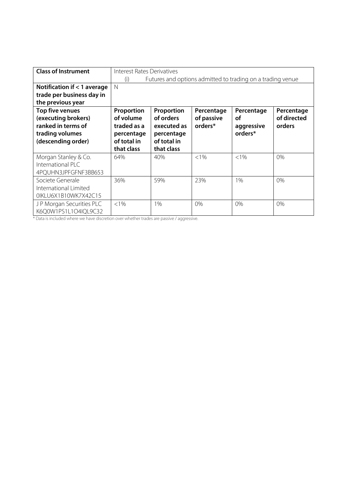| <b>Class of Instrument</b>  | <b>Interest Rates Derivatives</b> |                                                            |            |            |             |  |
|-----------------------------|-----------------------------------|------------------------------------------------------------|------------|------------|-------------|--|
|                             | (i)                               | Futures and options admitted to trading on a trading venue |            |            |             |  |
| Notification if < 1 average | N                                 |                                                            |            |            |             |  |
| trade per business day in   |                                   |                                                            |            |            |             |  |
| the previous year           |                                   |                                                            |            |            |             |  |
| Top five venues             | Proportion                        | Proportion                                                 | Percentage | Percentage | Percentage  |  |
| (executing brokers)         | of volume                         | of orders                                                  | of passive | οf         | of directed |  |
| ranked in terms of          | traded as a                       | executed as                                                | orders*    | aggressive | orders      |  |
| trading volumes             | percentage                        | percentage                                                 |            | orders*    |             |  |
| (descending order)          | of total in                       | of total in                                                |            |            |             |  |
|                             | that class                        | that class                                                 |            |            |             |  |
| Morgan Stanley & Co.        | 64%                               | 40%                                                        | $< 1\%$    | $< 1\%$    | 0%          |  |
| International PLC           |                                   |                                                            |            |            |             |  |
| 4PQUHN3JPFGFNF3BB653        |                                   |                                                            |            |            |             |  |
| Societe Generale            | 36%                               | 59%                                                        | 23%        | 1%         | 0%          |  |
| International Limited       |                                   |                                                            |            |            |             |  |
| 0IKLU6X1B10WK7X42C15        |                                   |                                                            |            |            |             |  |
| JP Morgan Securities PLC    | $< 1\%$                           | 1%                                                         | 0%         | 0%         | 0%          |  |
| K6Q0W1PS1L1O4lQL9C32        |                                   |                                                            |            |            |             |  |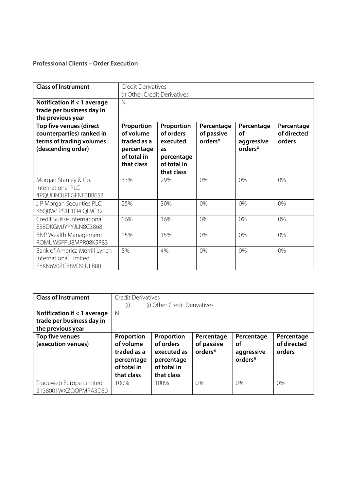#### **Professional Clients – Order Execution**

| <b>Class of Instrument</b>    | <b>Credit Derivatives</b>    |             |            |            |             |  |  |
|-------------------------------|------------------------------|-------------|------------|------------|-------------|--|--|
|                               | (i) Other Credit Derivatives |             |            |            |             |  |  |
| Notification if < 1 average   | $\mathbb N$                  |             |            |            |             |  |  |
| trade per business day in     |                              |             |            |            |             |  |  |
| the previous year             |                              |             |            |            |             |  |  |
| Top five venues (direct       | Proportion                   | Proportion  | Percentage | Percentage | Percentage  |  |  |
| counterparties) ranked in     | of volume                    | of orders   | of passive | οf         | of directed |  |  |
| terms of trading volumes      | traded as a                  | executed    | orders*    | aggressive | orders      |  |  |
| (descending order)            | percentage                   | as          |            | orders*    |             |  |  |
|                               | of total in                  | percentage  |            |            |             |  |  |
|                               | that class                   | of total in |            |            |             |  |  |
|                               |                              | that class  |            |            |             |  |  |
| Morgan Stanley & Co.          | 33%                          | 29%         | 0%         | 0%         | 0%          |  |  |
| International PLC             |                              |             |            |            |             |  |  |
| 4PQUHN3JPFGFNF3BB653          |                              |             |            |            |             |  |  |
| JP Morgan Securities PLC      | 25%                          | 30%         | 0%         | 0%         | 0%          |  |  |
| K6Q0W1PS1L1O4IQL9C32          |                              |             |            |            |             |  |  |
| Credit Suisse International   | 16%                          | 16%         | 0%         | 0%         | 0%          |  |  |
| E58DKGMJYYYJLN8C3868          |                              |             |            |            |             |  |  |
| <b>BNP Wealth Management</b>  | 15%                          | 15%         | 0%         | 0%         | 0%          |  |  |
| ROMUWSFPU8MPR08K5P83          |                              |             |            |            |             |  |  |
| Bank of America Merrill Lynch | 5%                           | 4%          | 0%         | 0%         | 0%          |  |  |
| International Limited         |                              |             |            |            |             |  |  |
| EYKN6V0ZCB8VD9IULB80          |                              |             |            |            |             |  |  |

| <b>Class of Instrument</b>    | <b>Credit Derivatives</b> |                              |            |            |             |  |
|-------------------------------|---------------------------|------------------------------|------------|------------|-------------|--|
|                               | (i)                       | (i) Other Credit Derivatives |            |            |             |  |
| Notification if $<$ 1 average | N                         |                              |            |            |             |  |
| trade per business day in     |                           |                              |            |            |             |  |
| the previous year             |                           |                              |            |            |             |  |
| Top five venues               | Proportion                | Proportion                   | Percentage | Percentage | Percentage  |  |
| (execution venues)            | of volume                 | of orders                    | of passive | οf         | of directed |  |
|                               | traded as a               | executed as                  | orders*    | aggressive | orders      |  |
|                               | percentage                | percentage                   |            | orders*    |             |  |
|                               | of total in               | of total in                  |            |            |             |  |
|                               | that class                | that class                   |            |            |             |  |
| Tradeweb Europe Limited       | 100%                      | 100%                         | 0%         | $0\%$      | 0%          |  |
| 2138001WXZQOPMPA3D50          |                           |                              |            |            |             |  |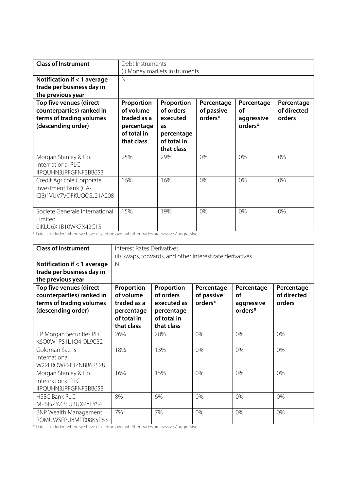| <b>Class of Instrument</b>     | Debt Instruments              |             |            |            |             |  |  |  |
|--------------------------------|-------------------------------|-------------|------------|------------|-------------|--|--|--|
|                                | (i) Money markets instruments |             |            |            |             |  |  |  |
| Notification if < 1 average    | $\mathbb N$                   |             |            |            |             |  |  |  |
| trade per business day in      |                               |             |            |            |             |  |  |  |
| the previous year              |                               |             |            |            |             |  |  |  |
| Top five venues (direct        | Proportion                    | Proportion  | Percentage | Percentage | Percentage  |  |  |  |
| counterparties) ranked in      | of volume                     | of orders   | of passive | οf         | of directed |  |  |  |
| terms of trading volumes       | traded as a                   | executed    | orders*    | aggressive | orders      |  |  |  |
| (descending order)             | percentage                    | as          |            | orders*    |             |  |  |  |
|                                | of total in                   | percentage  |            |            |             |  |  |  |
|                                | that class                    | of total in |            |            |             |  |  |  |
|                                |                               | that class  |            |            |             |  |  |  |
| Morgan Stanley & Co.           | 25%                           | 29%         | 0%         | 0%         | 0%          |  |  |  |
| International PLC              |                               |             |            |            |             |  |  |  |
| 4PQUHN3JPFGFNF3BB653           |                               |             |            |            |             |  |  |  |
| Credit Agricole Corporate      | 16%                           | 16%         | 0%         | 0%         | 0%          |  |  |  |
| Investment Bank (CA-           |                               |             |            |            |             |  |  |  |
| CIB)1VUV7VQFKUOQSJ21A208       |                               |             |            |            |             |  |  |  |
|                                |                               |             |            |            |             |  |  |  |
| Societe Generale International | 15%                           | 19%         | 0%         | 0%         | 0%          |  |  |  |
| Limited                        |                               |             |            |            |             |  |  |  |
| OIKLU6X1B10WK7X42C15           |                               |             |            |            |             |  |  |  |

| <b>Class of Instrument</b>                                                                             |                                                                                   | <b>Interest Rates Derivatives</b><br>(ii) Swaps, forwards, and other interest rate derivatives |                                     |                                           |                                     |  |  |
|--------------------------------------------------------------------------------------------------------|-----------------------------------------------------------------------------------|------------------------------------------------------------------------------------------------|-------------------------------------|-------------------------------------------|-------------------------------------|--|--|
| Notification if < 1 average<br>trade per business day in<br>the previous year                          | N                                                                                 |                                                                                                |                                     |                                           |                                     |  |  |
| Top five venues (direct<br>counterparties) ranked in<br>terms of trading volumes<br>(descending order) | Proportion<br>of volume<br>traded as a<br>percentage<br>of total in<br>that class | Proportion<br>of orders<br>executed as<br>percentage<br>of total in<br>that class              | Percentage<br>of passive<br>orders* | Percentage<br>οf<br>aggressive<br>orders* | Percentage<br>of directed<br>orders |  |  |
| JP Morgan Securities PLC<br>K6Q0W1PS1L1O4IQL9C32                                                       | 26%                                                                               | 20%                                                                                            | 0%                                  | 0%                                        | 0%                                  |  |  |
| Goldman Sachs<br>International<br>W22LROWP2IHZNBB6K528                                                 | 18%                                                                               | 13%                                                                                            | 0%                                  | 0%                                        | 0%                                  |  |  |
| Morgan Stanley & Co.<br>International PLC<br>4PQUHN3JPFGFNF3BB653                                      | 16%                                                                               | 15%                                                                                            | 0%                                  | 0%                                        | 0%                                  |  |  |
| <b>HSBC Bank PLC</b><br>MP6I5ZYZBEU3UXPYFY54                                                           | 8%                                                                                | 6%                                                                                             | 0%                                  | 0%                                        | 0%                                  |  |  |
| <b>BNP Wealth Management</b><br>ROMUWSFPU8MPR08K5P83                                                   | 7%                                                                                | 7%                                                                                             | 0%                                  | 0%                                        | 0%                                  |  |  |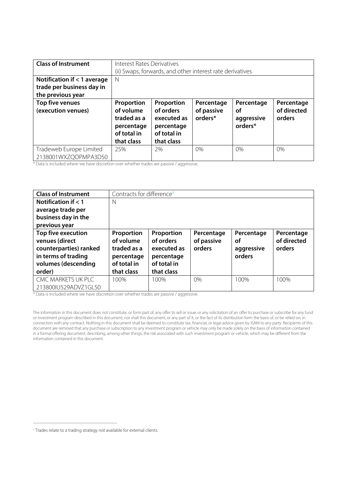| <b>Class of Instrument</b>                                                      | <b>Interest Rates Derivatives</b><br>(ii) Swaps, forwards, and other interest rate derivatives |                                                                                   |                                     |                                           |                                     |  |
|---------------------------------------------------------------------------------|------------------------------------------------------------------------------------------------|-----------------------------------------------------------------------------------|-------------------------------------|-------------------------------------------|-------------------------------------|--|
| Notification if $<$ 1 average<br>trade per business day in<br>the previous year | N                                                                                              |                                                                                   |                                     |                                           |                                     |  |
| Top five venues<br>(execution venues)                                           | Proportion<br>of volume<br>traded as a<br>percentage<br>of total in<br>that class              | Proportion<br>of orders<br>executed as<br>percentage<br>of total in<br>that class | Percentage<br>of passive<br>orders* | Percentage<br>οf<br>aggressive<br>orders* | Percentage<br>of directed<br>orders |  |
| Tradeweb Europe Limited<br>2138001WXZQOPMPA3D50                                 | 25%                                                                                            | 2%                                                                                | 0%                                  | $0\%$                                     | $0\%$                               |  |

| <b>Class of Instrument</b> | Contracts for difference <sup>4</sup> |             |            |            |             |
|----------------------------|---------------------------------------|-------------|------------|------------|-------------|
| Notification if $<$ 1      | N                                     |             |            |            |             |
| average trade per          |                                       |             |            |            |             |
| business day in the        |                                       |             |            |            |             |
| previous year              |                                       |             |            |            |             |
| Top five execution         | Proportion                            | Proportion  | Percentage | Percentage | Percentage  |
| venues (direct             | of volume                             | of orders   | of passive | οf         | of directed |
| counterparties) ranked     | traded as a                           | executed as | orders     | aggressive | orders      |
| in terms of trading        | percentage                            | percentage  |            | orders     |             |
| volumes (descending        | of total in                           | of total in |            |            |             |
| order)                     | that class                            | that class  |            |            |             |
| CMC MARKETS UK PLC         | 100%                                  | 100%        | 0%         | 100%       | 100%        |
| 213800IU529ADVZ1GL50       |                                       |             |            |            |             |

\* Data is included where we have discretion over whether trades are passive / aggressive.

The information in this document does not constitute, or form part of, any offer to sell or issue, or any solicitation of an offer to purchase or subscribe for any fund or investment program described in this document; nor shall this document, or any part of it, or the fact of its distribution form the basis of, or be relied on, in connection with any contract. Nothing in this document shall be deemed to constitute tax, financial, or legal advice given by ISAM to any party. Recipients of this document are remined that any purchase or subscription to any investment program or vehicle may only be made solely on the basis of information contained in a formal offering document, describing, among other things, the risk associated with such investment program or vehicle, which may be different from the information contained in this document.

<sup>4</sup> Trades relate to a trading strategy not available for external clients.